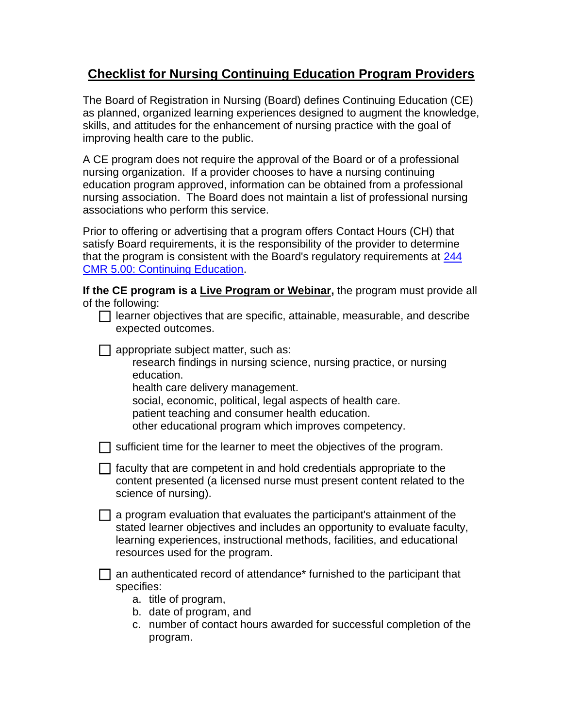## **Checklist for Nursing Continuing Education Program Providers**

The Board of Registration in Nursing (Board) defines Continuing Education (CE) as planned, organized learning experiences designed to augment the knowledge, skills, and attitudes for the enhancement of nursing practice with the goal of improving health care to the public.

A CE program does not require the approval of the Board or of a professional nursing organization. If a provider chooses to have a nursing continuing education program approved, information can be obtained from a professional nursing association. The Board does not maintain a list of professional nursing associations who perform this service.

Prior to offering or advertising that a program offers Contact Hours (CH) that satisfy Board requirements, it is the responsibility of the provider to determine that the program is consistent with the Board's regulatory requirements at [244](http://www.mass.gov/eohhs/docs/dph/regs/244cmr005.pdf)  [CMR 5.00: Continuing Education.](http://www.mass.gov/eohhs/docs/dph/regs/244cmr005.pdf)

**If the CE program is a Live Program or Webinar,** the program must provide all of the following:

| $\Box$ learner objectives that are specific, attainable, measurable, and describe |  |  |
|-----------------------------------------------------------------------------------|--|--|
| expected outcomes.                                                                |  |  |

 $\Box$  appropriate subject matter, such as:

research findings in nursing science, nursing practice, or nursing education.

health care delivery management.

social, economic, political, legal aspects of health care.

patient teaching and consumer health education.

other educational program which improves competency.

 $\Box$  sufficient time for the learner to meet the objectives of the program.

 $\Box$  faculty that are competent in and hold credentials appropriate to the content presented (a licensed nurse must present content related to the science of nursing).

 $\Box$  a program evaluation that evaluates the participant's attainment of the stated learner objectives and includes an opportunity to evaluate faculty, learning experiences, instructional methods, facilities, and educational resources used for the program.

 $\Box$  an authenticated record of attendance\* furnished to the participant that specifies:

- a. title of program,
- b. date of program, and
- c. number of contact hours awarded for successful completion of the program.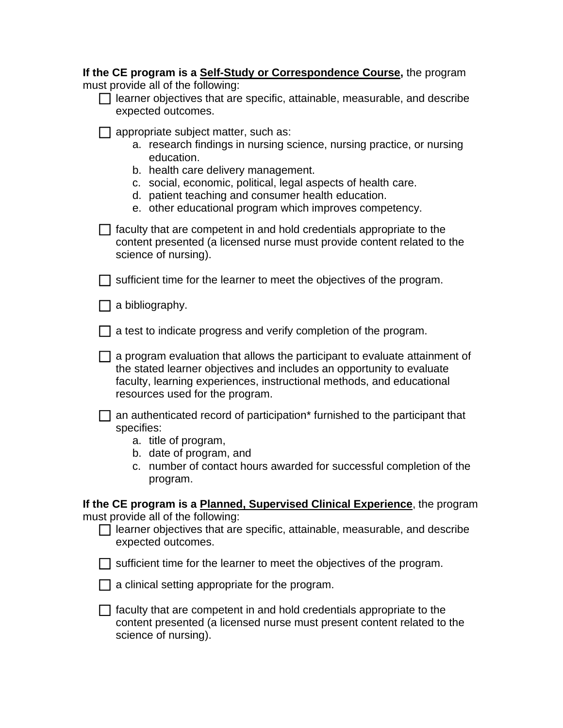| If the CE program is a Self-Study or Correspondence Course, the program<br>must provide all of the following:<br>learner objectives that are specific, attainable, measurable, and describe<br>expected outcomes.                                                                                                                                    |  |  |  |
|------------------------------------------------------------------------------------------------------------------------------------------------------------------------------------------------------------------------------------------------------------------------------------------------------------------------------------------------------|--|--|--|
| appropriate subject matter, such as:<br>a. research findings in nursing science, nursing practice, or nursing<br>education.<br>b. health care delivery management.<br>c. social, economic, political, legal aspects of health care.<br>d. patient teaching and consumer health education.<br>e. other educational program which improves competency. |  |  |  |
| faculty that are competent in and hold credentials appropriate to the<br>content presented (a licensed nurse must provide content related to the<br>science of nursing).                                                                                                                                                                             |  |  |  |
| sufficient time for the learner to meet the objectives of the program.                                                                                                                                                                                                                                                                               |  |  |  |
| a bibliography.                                                                                                                                                                                                                                                                                                                                      |  |  |  |
| a test to indicate progress and verify completion of the program.                                                                                                                                                                                                                                                                                    |  |  |  |
| a program evaluation that allows the participant to evaluate attainment of<br>the stated learner objectives and includes an opportunity to evaluate<br>faculty, learning experiences, instructional methods, and educational<br>resources used for the program.                                                                                      |  |  |  |
| an authenticated record of participation <sup>*</sup> furnished to the participant that<br>specifies:<br>a. title of program,<br>b. date of program, and<br>c. number of contact hours awarded for successful completion of the<br>program.                                                                                                          |  |  |  |
| If the CE program is a Planned, Supervised Clinical Experience, the program<br>must provide all of the following:<br>learner objectives that are specific, attainable, measurable, and describe<br>expected outcomes.                                                                                                                                |  |  |  |
| sufficient time for the learner to meet the objectives of the program.                                                                                                                                                                                                                                                                               |  |  |  |
| a clinical setting appropriate for the program.                                                                                                                                                                                                                                                                                                      |  |  |  |
| faculty that are competent in and hold credentials appropriate to the<br>content presented (a licensed nurse must present content related to the<br>science of nursing).                                                                                                                                                                             |  |  |  |